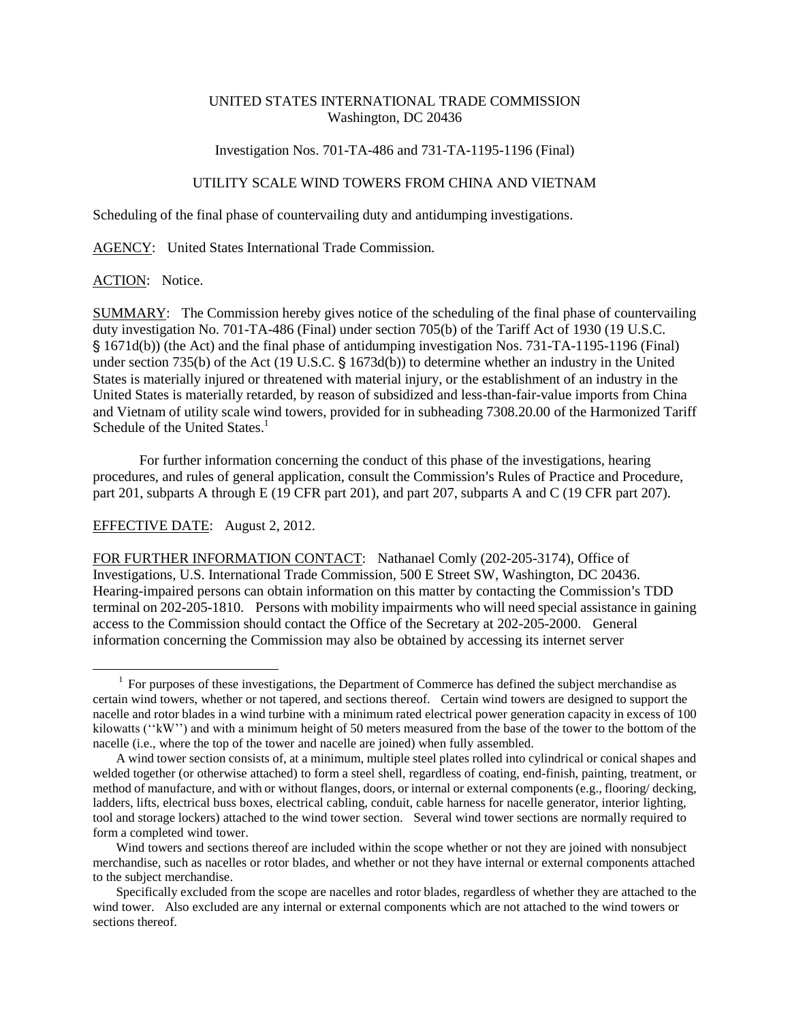## UNITED STATES INTERNATIONAL TRADE COMMISSION Washington, DC 20436

#### Investigation Nos. 701-TA-486 and 731-TA-1195-1196 (Final)

## UTILITY SCALE WIND TOWERS FROM CHINA AND VIETNAM

Scheduling of the final phase of countervailing duty and antidumping investigations.

AGENCY: United States International Trade Commission.

## ACTION: Notice.

 $\overline{a}$ 

SUMMARY: The Commission hereby gives notice of the scheduling of the final phase of countervailing duty investigation No. 701-TA-486 (Final) under section 705(b) of the Tariff Act of 1930 (19 U.S.C. ' 1671d(b)) (the Act) and the final phase of antidumping investigation Nos. 731-TA-1195-1196 (Final) under section 735(b) of the Act (19 U.S.C.  $\S$  1673d(b)) to determine whether an industry in the United States is materially injured or threatened with material injury, or the establishment of an industry in the United States is materially retarded, by reason of subsidized and less-than-fair-value imports from China and Vietnam of utility scale wind towers, provided for in subheading 7308.20.00 of the Harmonized Tariff Schedule of the United States. $<sup>1</sup>$ </sup>

For further information concerning the conduct of this phase of the investigations, hearing procedures, and rules of general application, consult the Commission's Rules of Practice and Procedure, part 201, subparts A through E (19 CFR part 201), and part 207, subparts A and C (19 CFR part 207).

# EFFECTIVE DATE: August 2, 2012.

FOR FURTHER INFORMATION CONTACT: Nathanael Comly (202-205-3174), Office of Investigations, U.S. International Trade Commission, 500 E Street SW, Washington, DC 20436. Hearing-impaired persons can obtain information on this matter by contacting the Commission's TDD terminal on 202-205-1810. Persons with mobility impairments who will need special assistance in gaining access to the Commission should contact the Office of the Secretary at 202-205-2000. General information concerning the Commission may also be obtained by accessing its internet server

 $1$  For purposes of these investigations, the Department of Commerce has defined the subject merchandise as certain wind towers, whether or not tapered, and sections thereof. Certain wind towers are designed to support the nacelle and rotor blades in a wind turbine with a minimum rated electrical power generation capacity in excess of 100 kilowatts (''kW'') and with a minimum height of 50 meters measured from the base of the tower to the bottom of the nacelle (i.e., where the top of the tower and nacelle are joined) when fully assembled.

A wind tower section consists of, at a minimum, multiple steel plates rolled into cylindrical or conical shapes and welded together (or otherwise attached) to form a steel shell, regardless of coating, end-finish, painting, treatment, or method of manufacture, and with or without flanges, doors, or internal or external components (e.g., flooring/ decking, ladders, lifts, electrical buss boxes, electrical cabling, conduit, cable harness for nacelle generator, interior lighting, tool and storage lockers) attached to the wind tower section. Several wind tower sections are normally required to form a completed wind tower.

Wind towers and sections thereof are included within the scope whether or not they are joined with nonsubject merchandise, such as nacelles or rotor blades, and whether or not they have internal or external components attached to the subject merchandise.

Specifically excluded from the scope are nacelles and rotor blades, regardless of whether they are attached to the wind tower. Also excluded are any internal or external components which are not attached to the wind towers or sections thereof.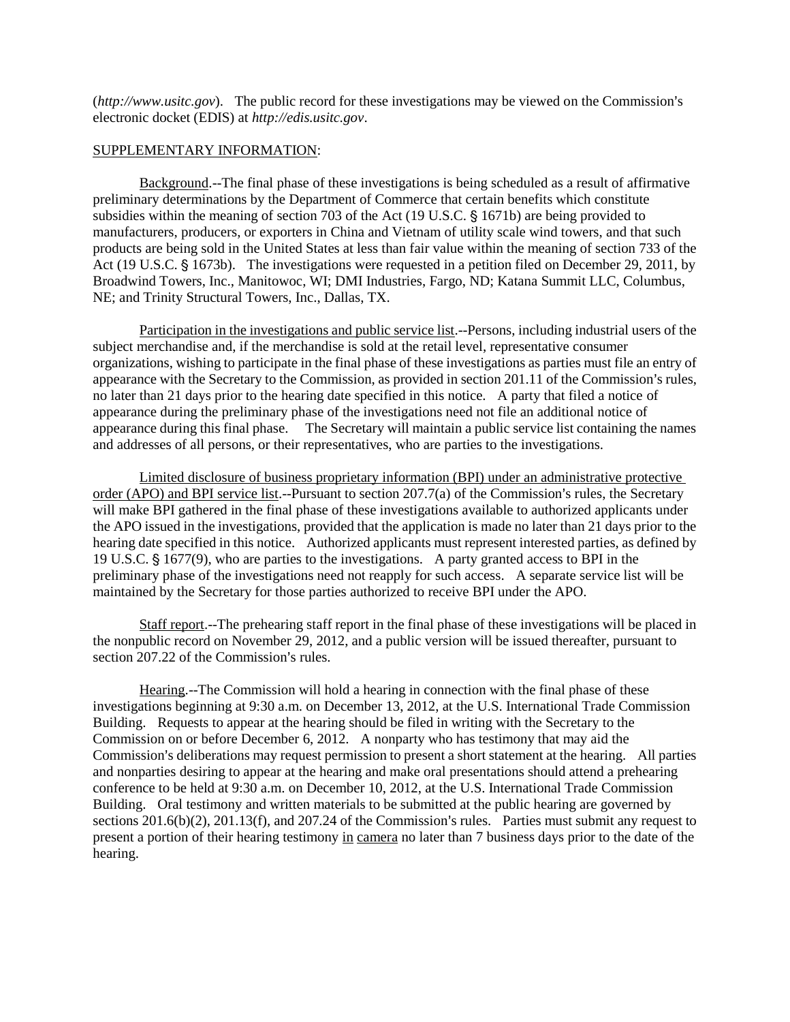$(http://www.usitc.gov)$ . The public record for these investigations may be viewed on the Commission's electronic docket (EDIS) at *http://edis.usitc.gov*.

#### SUPPLEMENTARY INFORMATION:

Background.--The final phase of these investigations is being scheduled as a result of affirmative preliminary determinations by the Department of Commerce that certain benefits which constitute subsidies within the meaning of section 703 of the Act  $(19 \text{ U.S.C.} \S 1671b)$  are being provided to manufacturers, producers, or exporters in China and Vietnam of utility scale wind towers, and that such products are being sold in the United States at less than fair value within the meaning of section 733 of the Act (19 U.S.C. § 1673b). The investigations were requested in a petition filed on December 29, 2011, by Broadwind Towers, Inc., Manitowoc, WI; DMI Industries, Fargo, ND; Katana Summit LLC, Columbus, NE; and Trinity Structural Towers, Inc., Dallas, TX.

Participation in the investigations and public service list.--Persons, including industrial users of the subject merchandise and, if the merchandise is sold at the retail level, representative consumer organizations, wishing to participate in the final phase of these investigations as parties must file an entry of appearance with the Secretary to the Commission, as provided in section 201.11 of the Commission's rules, no later than 21 days prior to the hearing date specified in this notice. A party that filed a notice of appearance during the preliminary phase of the investigations need not file an additional notice of appearance during this final phase. The Secretary will maintain a public service list containing the names and addresses of all persons, or their representatives, who are parties to the investigations.

Limited disclosure of business proprietary information (BPI) under an administrative protective order (APO) and BPI service list.--Pursuant to section  $207.7(a)$  of the Commission's rules, the Secretary will make BPI gathered in the final phase of these investigations available to authorized applicants under the APO issued in the investigations, provided that the application is made no later than 21 days prior to the hearing date specified in this notice. Authorized applicants must represent interested parties, as defined by 19 U.S.C.  $\frac{1}{5}$  1677(9), who are parties to the investigations. A party granted access to BPI in the preliminary phase of the investigations need not reapply for such access. A separate service list will be maintained by the Secretary for those parties authorized to receive BPI under the APO.

Staff report.--The prehearing staff report in the final phase of these investigations will be placed in the nonpublic record on November 29, 2012, and a public version will be issued thereafter, pursuant to section 207.22 of the Commission's rules.

Hearing.--The Commission will hold a hearing in connection with the final phase of these investigations beginning at 9:30 a.m. on December 13, 2012, at the U.S. International Trade Commission Building. Requests to appear at the hearing should be filed in writing with the Secretary to the Commission on or before December 6, 2012. A nonparty who has testimony that may aid the Commission's deliberations may request permission to present a short statement at the hearing. All parties and nonparties desiring to appear at the hearing and make oral presentations should attend a prehearing conference to be held at 9:30 a.m. on December 10, 2012, at the U.S. International Trade Commission Building. Oral testimony and written materials to be submitted at the public hearing are governed by sections  $201.6(b)(2)$ ,  $201.13(f)$ , and  $207.24$  of the Commission's rules. Parties must submit any request to present a portion of their hearing testimony in camera no later than 7 business days prior to the date of the hearing.